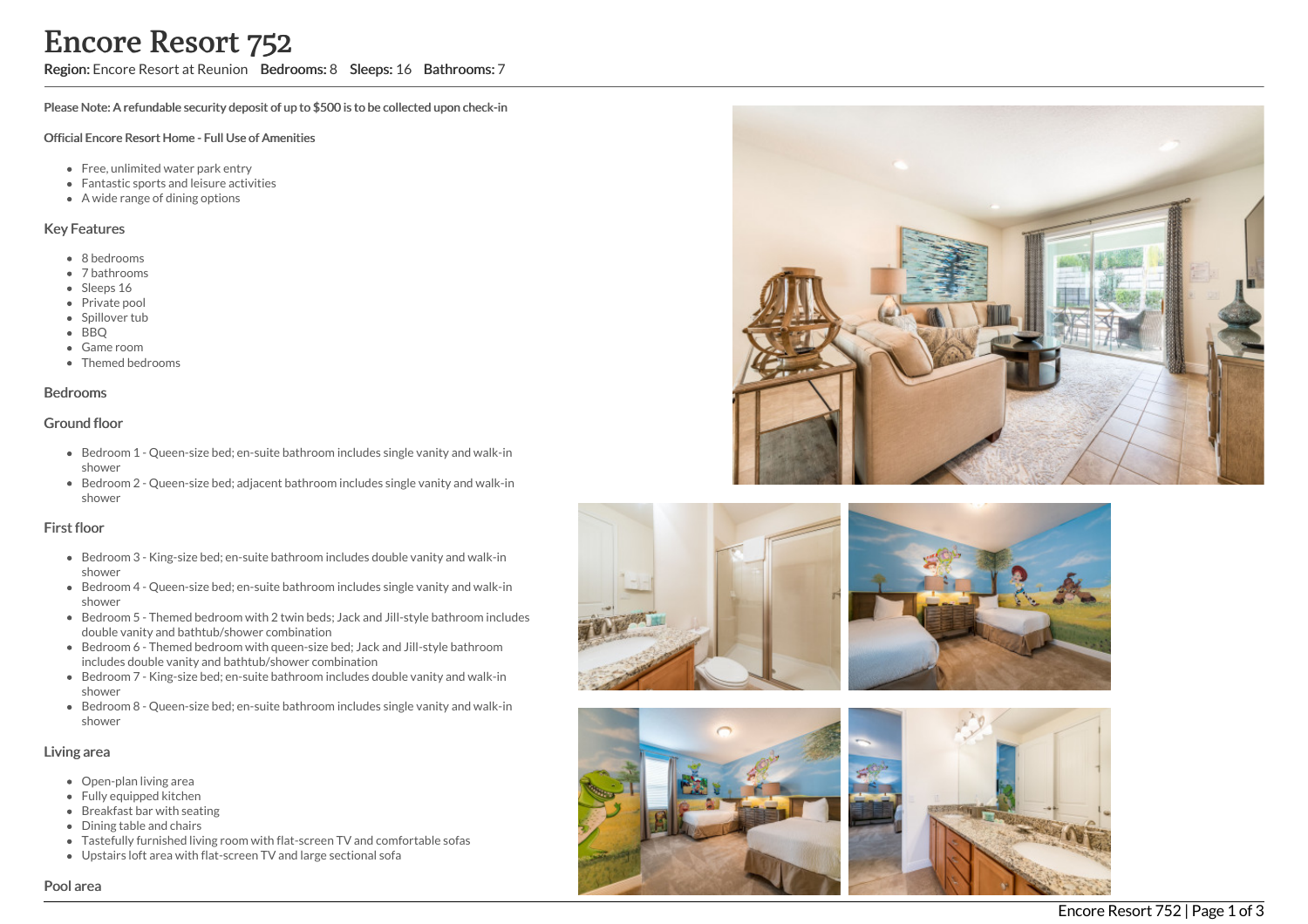# Encore Resort 752

Region: Encore Resort at Reunion Bedrooms: 8 Sleeps: 16 Bathrooms: 7

Please Note: A refundable security deposit of up to \$500 is to be collected upon check-in

#### Official Encore Resort Home - Full Use of Amenities

- Free, unlimited water park entry
- Fantastic sports and leisure activities
- A wide range of dining options

#### Key Features

- 8 b e d r o o m s
- 7 bathrooms
- Sleeps 16
- Private pool
- Spillover tub
- BBQ
- Game room
- Themed bedr o o m s

#### **Bedrooms**

#### Ground floor

- Bedroom 1 Queen-size bed; en-suite bathroom includes single vanity and walk-in s h o w e r
- Bedroom 2 Queen-size bed; adjacent bathroom includes single vanity and walk-in s h o w e r

#### First floor

- Bedroom 3 King-size bed; en-suite bathroom includes double vanity and walk-in s h o w e r
- Bedroom 4 Queen-size bed; en-suite bathroom includes single vanity and walk-in s h o w e r
- Bedroom 5 Themed bedroom with 2 twin beds; Jack and Jill-style bathroom includes double vanity and bathtub/shower combination
- Bedroom 6 Themed bedroom with queen-size bed; Jack and Jill-style bathroom includes double vanity and bathtub/shower combination
- Bedroom 7 King-size bed; en-suite bathroom includes double vanity and walk-in shower
- Bedroom 8 Queen-size bed; en-suite bathroom includes single vanity and walk-in shower

#### Living area

- Open-plan living area
- Fully equipped kitchen
- Breakfast bar with seating
- Dining table and chairs
- Tastefully furnished living room with flat-screen TV and comfortable sofas
- Upstairs loft area with flat-screen TV and large sectional sofa









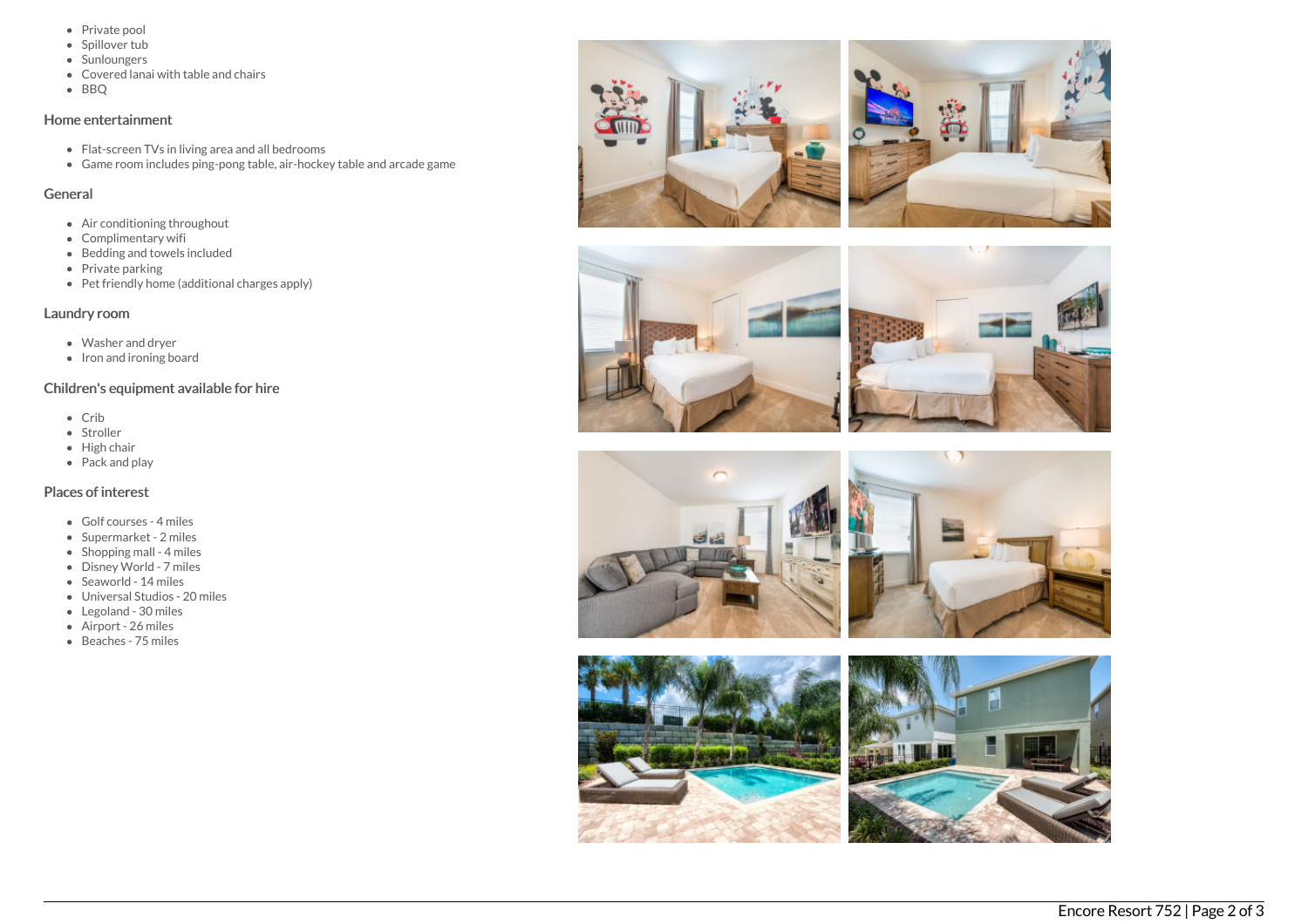- Private pool
- Spillover tub
- Sunloungers
- Covered lanai with table and chairs
- BBQ

## Home entertainment

- Flat-screen TVs in living area and all bedrooms
- Game room includes ping-pong table, air-hockey table and arcade game

## General

- Air conditioning throughout
- Complimentary wifi
- Bedding and towels included
- Private parking
- Pet friendly home (additional charges apply)

## Laundry room

- Washer and dryer
- $\bullet$  Iron and ironing board

# Children's equipment available for hire

- Crib
- Stroller
- High chair
- $\bullet$  Pack and play

# Places of interest

- Golf courses 4 miles
- Supermarket 2 miles
- Shopping mall 4 miles
- Disney World 7 miles
- Seaworld 14 miles
- Universal Studios 20 miles
- Legoland 30 miles
- Airport 26 miles
- Beaches 75 miles